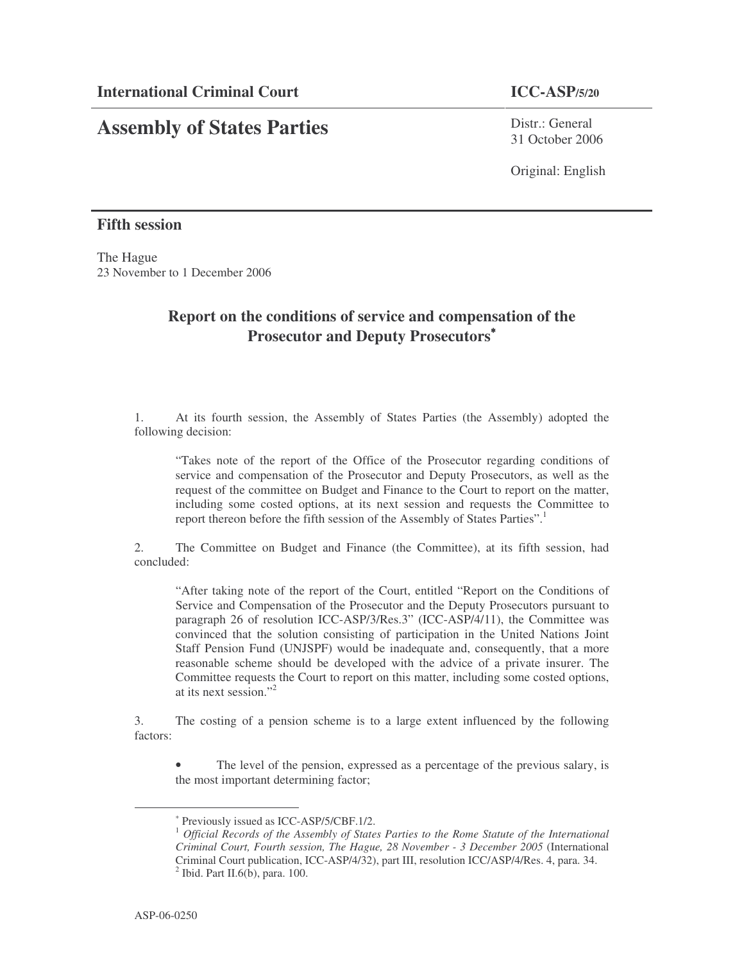## **Assembly of States Parties**

Distr · General 31 October 2006

Original: English

## **Fifth session**

The Hague 23 November to 1 December 2006

## **Report on the conditions of service and compensation of the Prosecutor and Deputy Prosecutors** ∗

1. At its fourth session, the Assembly of States Parties (the Assembly) adopted the following decision:

"Takes note of the report of the Office of the Prosecutor regarding conditions of service and compensation of the Prosecutor and Deputy Prosecutors, as well as the request of the committee on Budget and Finance to the Court to report on the matter, including some costed options, at its next session and requests the Committee to report thereon before the fifth session of the Assembly of States Parties". 1

2. The Committee on Budget and Finance (the Committee), at its fifth session, had concluded:

"After taking note of the report of the Court, entitled "Report on the Conditions of Service and Compensation of the Prosecutor and the Deputy Prosecutors pursuant to paragraph 26 of resolution ICC-ASP/3/Res.3" (ICC-ASP/4/11), the Committee was convinced that the solution consisting of participation in the United Nations Joint Staff Pension Fund (UNJSPF) would be inadequate and, consequently, that a more reasonable scheme should be developed with the advice of a private insurer. The Committee requests the Court to report on this matter, including some costed options, at its next session." 2

3. The costing of a pension scheme is to a large extent influenced by the following factors:

The level of the pension, expressed as a percentage of the previous salary, is the most important determining factor;

<sup>∗</sup> Previously issued as ICC-ASP/5/CBF.1/2.

<sup>1</sup> *Official Records of the Assembly of States Parties to the Rome Statute of the International Criminal Court, Fourth session, The Hague, 28 November - 3 December 2005* (International Criminal Court publication, ICC-ASP/4/32), part III, resolution ICC/ASP/4/Res. 4, para. 34.  $2$  Ibid. Part II.6(b), para. 100.